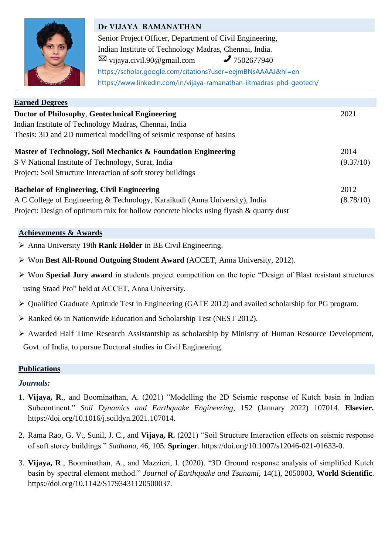

# **Dr VIJAYA RAMANATHAN** Senior Project Officer, Department of Civil Engineering, Indian Institute of Technology Madras, Chennai, India.  $\boxtimes$  [vijaya.civil.90@gmail.com](mailto:vijaya.civil.90@gmail.com)  $\mathcal{J}$  7502677940 <https://scholar.google.com/citations?user=eejmBNsAAAAJ&hl=en> <https://www.linkedin.com/in/vijaya-ramanathan-iitmadras-phd-geotech/>

| <b>Earned Degrees</b>                                                                   |           |  |
|-----------------------------------------------------------------------------------------|-----------|--|
| Doctor of Philosophy, Geotechnical Engineering                                          |           |  |
| Indian Institute of Technology Madras, Chennai, India                                   |           |  |
| Thesis: 3D and 2D numerical modelling of seismic response of basins                     |           |  |
| Master of Technology, Soil Mechanics & Foundation Engineering                           | 2014      |  |
| S V National Institute of Technology, Surat, India                                      | (9.37/10) |  |
| Project: Soil Structure Interaction of soft storey buildings                            |           |  |
| <b>Bachelor of Engineering, Civil Engineering</b>                                       | 2012      |  |
| A C College of Engineering & Technology, Karaikudi (Anna University), India             | (8.78/10) |  |
| Project: Design of optimum mix for hollow concrete blocks using flyash $\&$ quarry dust |           |  |

# **Achievements & Awards**

- ➢ Anna University 19th **Rank Holder** in BE Civil Engineering.
- ➢ Won **Best All-Round Outgoing Student Award** (ACCET, Anna University, 2012).
- ➢ Won **Special Jury award** in students project competition on the topic "Design of Blast resistant structures using Staad Pro" held at ACCET, Anna University.
- ➢ Qualified Graduate Aptitude Test in Engineering (GATE 2012) and availed scholarship for PG program.
- ➢ Ranked 66 in Nationwide Education and Scholarship Test (NEST 2012).
- ➢ Awarded Half Time Research Assistantship as scholarship by Ministry of Human Resource Development, Govt. of India, to pursue Doctoral studies in Civil Engineering.

# **Publications**

# *Journals:*

- 1. **Vijaya, R**., and Boominathan, A. (2021) "Modelling the 2D Seismic response of Kutch basin in Indian Subcontinent." *Soil Dynamics and Earthquake Engineering*, 152 (January 2022) 107014. **Elsevier.**  https://doi.org/10.1016/j.soildyn.2021.107014.
- 2. Rama Rao, G. V., Sunil, J. C., and **Vijaya, R.** (2021) "Soil Structure Interaction effects on seismic response of soft storey buildings." *Sadhana*, 46, 105. **Springer**. [https://doi.org/10.1007/s12046-021-01633-0.](https://doi.org/10.1007/s12046-021-01633-0)
- 3. **Vijaya, R**., Boominathan, A., and Mazzieri, I. (2020). "3D Ground response analysis of simplified Kutch basin by spectral element method." *Journal of Earthquake and Tsunami*, 14(1), 2050003, **World Scientific**. [https://doi.org/10.1142/S1793431120500037.](https://doi.org/10.1142/S1793431120500037)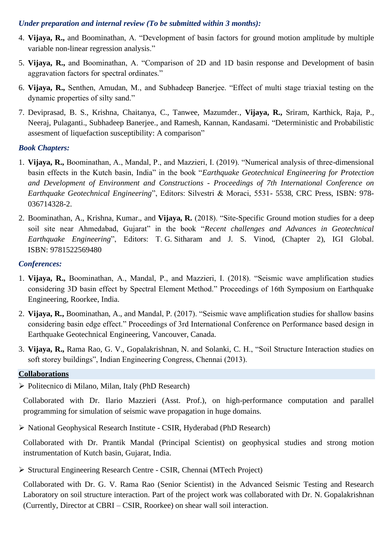#### *Under preparation and internal review (To be submitted within 3 months):*

- 4. **Vijaya, R.,** and Boominathan, A. "Development of basin factors for ground motion amplitude by multiple variable non-linear regression analysis."
- 5. **Vijaya, R.,** and Boominathan, A. "Comparison of 2D and 1D basin response and Development of basin aggravation factors for spectral ordinates."
- 6. **Vijaya, R.,** Senthen, Amudan, M., and Subhadeep Banerjee. "Effect of multi stage triaxial testing on the dynamic properties of silty sand."
- 7. Deviprasad, B. S., Krishna, Chaitanya, C., Tanwee, Mazumder., **Vijaya, R.,** Sriram, Karthick, Raja, P., Neeraj, Pulaganti., Subhadeep Banerjee., and Ramesh, Kannan, Kandasami. "Deterministic and Probabilistic assesment of liquefaction susceptibility: A comparison"

# *Book Chapters:*

- 1. **Vijaya, R.,** Boominathan, A., Mandal, P., and Mazzieri, I. (2019). "Numerical analysis of three-dimensional basin effects in the Kutch basin, India" in the book "*Earthquake Geotechnical Engineering for Protection and Development of Environment and Constructions - Proceedings of 7th International Conference on Earthquake Geotechnical Engineering*", Editors: Silvestri & Moraci, 5531- 5538, CRC Press, ISBN: 978- 036714328-2.
- 2. Boominathan, A., Krishna, Kumar., and **Vijaya, R.** (2018). "Site-Specific Ground motion studies for a deep soil site near Ahmedabad, Gujarat" in the book "*Recent challenges and Advances in Geotechnical Earthquake Engineering*", Editors: T. G. Sitharam and J. S. Vinod, (Chapter 2), IGI Global. ISBN: 9781522569480

# *Conferences:*

- 1. **Vijaya, R.,** Boominathan, A., Mandal, P., and Mazzieri, I. (2018). "Seismic wave amplification studies considering 3D basin effect by Spectral Element Method." Proceedings of 16th Symposium on Earthquake Engineering, Roorkee, India.
- 2. **Vijaya, R.,** Boominathan, A., and Mandal, P. (2017). "Seismic wave amplification studies for shallow basins considering basin edge effect." Proceedings of 3rd International Conference on Performance based design in Earthquake Geotechnical Engineering, Vancouver, Canada.
- 3. **Vijaya, R.,** Rama Rao, G. V., Gopalakrishnan, N. and Solanki, C. H., "Soil Structure Interaction studies on soft storey buildings", Indian Engineering Congress, Chennai (2013).

#### **Collaborations**

➢ Politecnico di Milano, Milan, Italy (PhD Research)

Collaborated with Dr. Ilario Mazzieri (Asst. Prof.), on high-performance computation and parallel programming for simulation of seismic wave propagation in huge domains.

➢ National Geophysical Research Institute - CSIR, Hyderabad (PhD Research)

Collaborated with Dr. Prantik Mandal (Principal Scientist) on geophysical studies and strong motion instrumentation of Kutch basin, Gujarat, India.

➢ Structural Engineering Research Centre - CSIR, Chennai (MTech Project)

Collaborated with Dr. G. V. Rama Rao (Senior Scientist) in the Advanced Seismic Testing and Research Laboratory on soil structure interaction. Part of the project work was collaborated with Dr. N. Gopalakrishnan (Currently, Director at CBRI – CSIR, Roorkee) on shear wall soil interaction.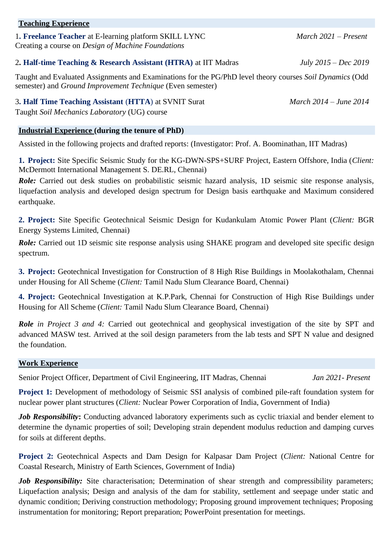#### **Teaching Experience**

1**. Freelance Teacher** at E-learning platform SKILL LYNC *March 2021 – Present* Creating a course on *Design of Machine Foundations*

#### 2**. Half-time Teaching & Research Assistant (HTRA)** at IIT Madras *July 2015 – Dec 2019*

Taught and Evaluated Assignments and Examinations for the PG/PhD level theory courses *Soil Dynamics* (Odd semester) and *Ground Improvement Technique* (Even semester)

3**. Half Time Teaching Assistant** (**HTTA**) at SVNIT Surat *March 2014 – June 2014* Taught *Soil Mechanics Laboratory* (UG) course

#### **Industrial Experience (during the tenure of PhD)**

Assisted in the following projects and drafted reports: (Investigator: Prof. A. Boominathan, IIT Madras)

**1. Project:** Site Specific Seismic Study for the KG-DWN-SPS+SURF Project, Eastern Offshore, India (*Client:* McDermott International Management S. DE.RL, Chennai)

*Role:* Carried out desk studies on probabilistic seismic hazard analysis, 1D seismic site response analysis, liquefaction analysis and developed design spectrum for Design basis earthquake and Maximum considered earthquake.

**2. Project:** Site Specific Geotechnical Seismic Design for Kudankulam Atomic Power Plant (*Client:* BGR Energy Systems Limited, Chennai)

*Role:* Carried out 1D seismic site response analysis using SHAKE program and developed site specific design spectrum.

**3. Project:** Geotechnical Investigation for Construction of 8 High Rise Buildings in Moolakothalam, Chennai under Housing for All Scheme (*Client:* Tamil Nadu Slum Clearance Board, Chennai)

**4. Project:** Geotechnical Investigation at K.P.Park, Chennai for Construction of High Rise Buildings under Housing for All Scheme (*Client:* Tamil Nadu Slum Clearance Board, Chennai)

*Role in Project 3 and 4:* Carried out geotechnical and geophysical investigation of the site by SPT and advanced MASW test. Arrived at the soil design parameters from the lab tests and SPT N value and designed the foundation.

#### **Work Experience**

Senior Project Officer, Department of Civil Engineering, IIT Madras, Chennai *Jan 2021- Present*

**Project 1:** Development of methodology of Seismic SSI analysis of combined pile-raft foundation system for nuclear power plant structures (*Client:* Nuclear Power Corporation of India, Government of India)

*Job Responsibility*: Conducting advanced laboratory experiments such as cyclic triaxial and bender element to determine the dynamic properties of soil; Developing strain dependent modulus reduction and damping curves for soils at different depths.

**Project 2:** Geotechnical Aspects and Dam Design for Kalpasar Dam Project (*Client:* National Centre for Coastal Research, Ministry of Earth Sciences, Government of India)

*Job Responsibility:* Site characterisation; Determination of shear strength and compressibility parameters; Liquefaction analysis; Design and analysis of the dam for stability, settlement and seepage under static and dynamic condition; Deriving construction methodology; Proposing ground improvement techniques; Proposing instrumentation for monitoring; Report preparation; PowerPoint presentation for meetings.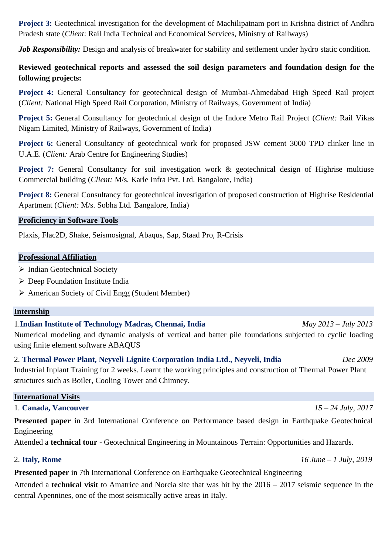**Project 3:** Geotechnical investigation for the development of Machilipatnam port in Krishna district of Andhra Pradesh state (*Client*: Rail India Technical and Economical Services, Ministry of Railways)

*Job Responsibility:* Design and analysis of breakwater for stability and settlement under hydro static condition.

# **Reviewed geotechnical reports and assessed the soil design parameters and foundation design for the following projects:**

**Project 4:** General Consultancy for geotechnical design of Mumbai-Ahmedabad High Speed Rail project (*Client:* National High Speed Rail Corporation, Ministry of Railways, Government of India)

**Project 5:** General Consultancy for geotechnical design of the Indore Metro Rail Project (*Client:* Rail Vikas Nigam Limited, Ministry of Railways, Government of India)

**Project 6:** General Consultancy of geotechnical work for proposed JSW cement 3000 TPD clinker line in U.A.E. (*Client:* Arab Centre for Engineering Studies)

**Project 7:** General Consultancy for soil investigation work & geotechnical design of Highrise multiuse Commercial building (*Client:* M/s. Karle Infra Pvt. Ltd. Bangalore, India)

**Project 8:** General Consultancy for geotechnical investigation of proposed construction of Highrise Residential Apartment (*Client:* M/s. Sobha Ltd. Bangalore, India)

# **Proficiency in Software Tools**

Plaxis, Flac2D, Shake, Seismosignal, Abaqus, Sap, Staad Pro, R-Crisis

# **Professional Affiliation**

- ➢ Indian Geotechnical Society
- ➢ Deep Foundation Institute India
- ➢ American Society of Civil Engg (Student Member)

# **Internship**

1.**Indian Institute of Technology Madras, Chennai, India** *May 2013 – July 2013* Numerical modeling and dynamic analysis of vertical and batter pile foundations subjected to cyclic loading using finite element software ABAQUS

2. **Thermal Power Plant, Neyveli Lignite Corporation India Ltd., Neyveli, India** *Dec 2009*  Industrial Inplant Training for 2 weeks. Learnt the working principles and construction of Thermal Power Plant structures such as Boiler, Cooling Tower and Chimney.

# **International Visits**

# 1. **Canada, Vancouver** *15 – 24 July, 2017*

**Presented paper** in 3rd International Conference on Performance based design in Earthquake Geotechnical Engineering

Attended a **technical tour** - Geotechnical Engineering in Mountainous Terrain: Opportunities and Hazards.

# 2. **Italy, Rome** *16 June – 1 July, 2019*

**Presented paper** in 7th International Conference on Earthquake Geotechnical Engineering

Attended a **technical visit** to Amatrice and Norcia site that was hit by the 2016 – 2017 seismic sequence in the central Apennines, one of the most seismically active areas in Italy.